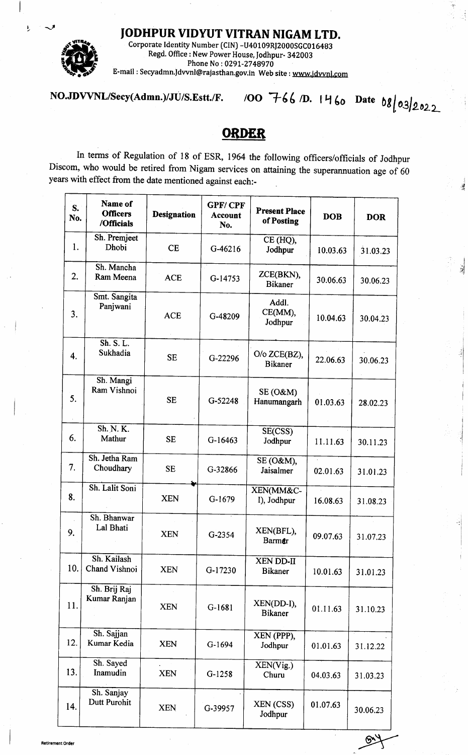IODHPUR VIDYUT VITRAN NIGAM LTD.



Ł

Corporate Identity Number (CIN) -U40 109RJ2000SGC016483 Regd. Office : New Power House, Jodhpur- 342003 Phone No:0297-2748970 E-mail : Secyadmn.ldwnl@rajasthan.gov.in Web site : www.jdwnl.pom

NO.JDVVNL/Secy(Admn.)/JU/S.Estt./F. /OO  $766$  /D.  $1460$  Date  $68/03/2022$ 

 $\ddot{\phantom{1}}$ 

.l '!l

瀑

rl

## **ORDER**

In terms of Regulation of 18 of ESR, 1964 the following officers/officials of Jodhpur Discom, who would be retired from Nigam services on attaining the superannuation age of 60 years with effect from the date mentioned against each:-

| Name of<br><b>Officers</b><br>/Officials | <b>Designation</b>                                                                                                              | <b>GPF/CPF</b><br><b>Account</b><br>No. | <b>Present Place</b><br>of Posting | <b>DOB</b>                 | <b>DOR</b> |
|------------------------------------------|---------------------------------------------------------------------------------------------------------------------------------|-----------------------------------------|------------------------------------|----------------------------|------------|
| Dhobi                                    | <b>CE</b>                                                                                                                       | G-46216                                 | CE (HQ),<br>Jodhpur                | 10.03.63                   | 31.03.23   |
| Ram Meena                                | <b>ACE</b>                                                                                                                      | G-14753                                 | ZCE(BKN),<br><b>Bikaner</b>        | 30.06.63                   | 30.06.23   |
| Panjwani                                 | <b>ACE</b>                                                                                                                      | G-48209                                 | Addl.<br>CE(MM),<br>Jodhpur        | 10.04.63                   | 30.04.23   |
| Sh. S. L.<br>Sukhadia                    | <b>SE</b>                                                                                                                       | G-22296                                 | O/o ZCE(BZ),<br><b>Bikaner</b>     | 22.06.63                   | 30.06.23   |
| Ram Vishnoi                              | <b>SE</b>                                                                                                                       | G-52248                                 | $SE(0\&M)$<br>Hanumangarh          | 01.03.63                   | 28.02.23   |
| Sh. N. K.<br>Mathur                      | <b>SE</b>                                                                                                                       | G-16463                                 | SE(CSS)<br>Jodhpur                 | 11.11.63                   | 30.11.23   |
| Choudhary                                | <b>SE</b>                                                                                                                       | G-32866                                 | SE (O&M),<br>Jaisalmer             | $\mathbb{Z}^2$<br>02.01.63 | 31.01.23   |
|                                          | <b>XEN</b>                                                                                                                      | G-1679                                  | XEN(MM&C-<br>I), Jodhpur           | 16.08.63                   | 31.08.23   |
| Lal Bhati                                | <b>XEN</b>                                                                                                                      | G-2354                                  | XEN(BFL),<br><b>Barmer</b>         | 09.07.63                   | 31.07.23   |
| Chand Vishnoi                            | <b>XEN</b>                                                                                                                      | G-17230                                 | XEN DD-II<br><b>Bikaner</b>        | 10.01.63                   | 31.01.23   |
| Sh. Brij Raj<br>Kumar Ranjan             | <b>XEN</b>                                                                                                                      | $G-1681$                                | XEN(DD-I),<br><b>Bikaner</b>       | 01.11.63                   | 31.10.23   |
| Sh. Sajjan<br>Kumar Kedia                | <b>XEN</b>                                                                                                                      | G-1694                                  | XEN (PPP),<br>Jodhpur              | 01.01.63                   | 31.12.22   |
| Sh. Sayed<br>Inamudin                    | <b>XEN</b>                                                                                                                      | $G-1258$                                | XEN(Vig.)<br>Churu                 | 04.03.63                   | 31.03.23   |
| Sh. Sanjay<br>Dutt Purohit               | <b>XEN</b>                                                                                                                      | G-39957                                 | XEN (CSS)<br>Jodhpur               | 01.07.63                   | 30.06.23   |
|                                          | No.<br>Sh. Premjeet<br>Sh. Mancha<br>Smt. Sangita<br>Sh. Mangi<br>Sh. Jetha Ram<br>Sh. Lalit Soni<br>Sh. Bhanwar<br>Sh. Kailash |                                         |                                    |                            |            |

Retirement Order